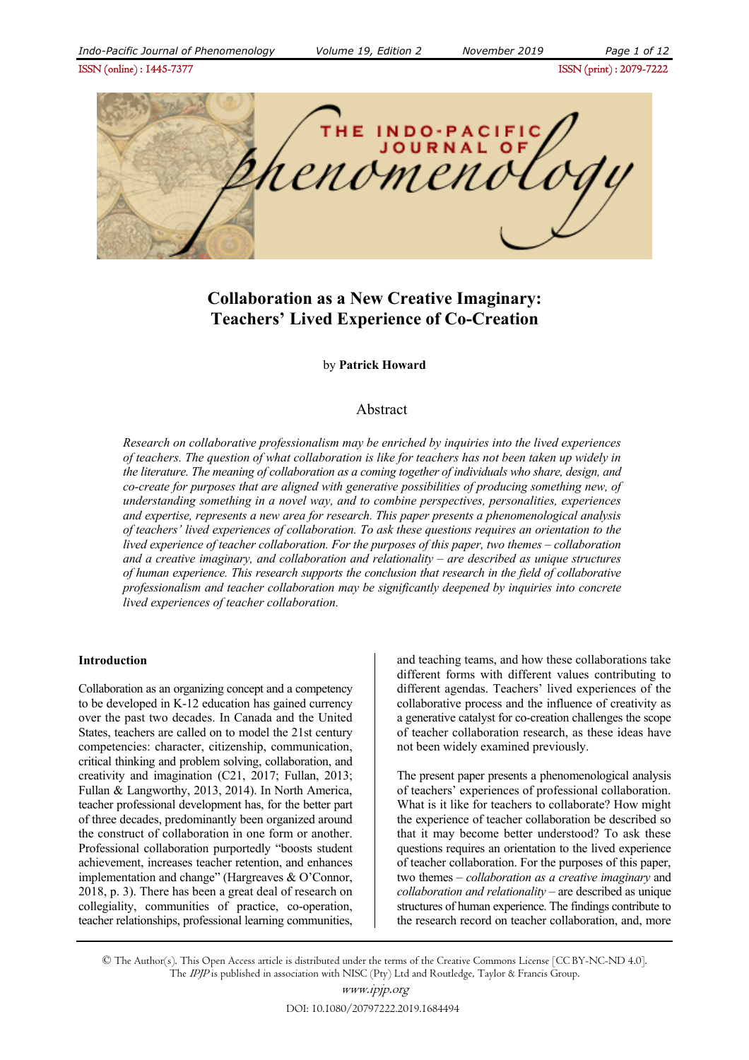ISSN (online) : 1445-7377ISSN (print) : 2079-7222



# **Collaboration as a New Creative Imaginary: Teachers' Lived Experience of Co-Creation**

#### by **Patrick Howard**

#### Abstract

*Research on collaborative professionalism may be enriched by inquiries into the lived experiences of teachers. The question of what collaboration is like for teachers has not been taken up widely in the literature. The meaning of collaboration as a coming together of individuals who share, design, and co-create for purposes that are aligned with generative possibilities of producing something new, of understanding something in a novel way, and to combine perspectives, personalities, experiences and expertise, represents a new area for research. This paper presents a phenomenological analysis of teachers' lived experiences of collaboration. To ask these questions requires an orientation to the lived experience of teacher collaboration. For the purposes of this paper, two themes – collaboration and a creative imaginary, and collaboration and relationality – are described as unique structures of human experience. This research supports the conclusion that research in the field of collaborative professionalism and teacher collaboration may be significantly deepened by inquiries into concrete lived experiences of teacher collaboration.* 

#### **Introduction**

Collaboration as an organizing concept and a competency to be developed in K-12 education has gained currency over the past two decades. In Canada and the United States, teachers are called on to model the 21st century competencies: character, citizenship, communication, critical thinking and problem solving, collaboration, and creativity and imagination (C21, 2017; Fullan, 2013; Fullan & Langworthy, 2013, 2014). In North America, teacher professional development has, for the better part of three decades, predominantly been organized around the construct of collaboration in one form or another. Professional collaboration purportedly "boosts student achievement, increases teacher retention, and enhances implementation and change" (Hargreaves & O'Connor, 2018, p. 3). There has been a great deal of research on collegiality, communities of practice, co-operation, teacher relationships, professional learning communities, and teaching teams, and how these collaborations take different forms with different values contributing to different agendas. Teachers' lived experiences of the collaborative process and the influence of creativity as a generative catalyst for co-creation challenges the scope of teacher collaboration research, as these ideas have not been widely examined previously.

The present paper presents a phenomenological analysis of teachers' experiences of professional collaboration. What is it like for teachers to collaborate? How might the experience of teacher collaboration be described so that it may become better understood? To ask these questions requires an orientation to the lived experience of teacher collaboration. For the purposes of this paper, two themes – *collaboration as a creative imaginary* and *collaboration and relationality* – are described as unique structures of human experience. The findings contribute to the research record on teacher collaboration, and, more

© The Author(s). This Open Access article is distributed under the terms of the Creative Commons License [CC BY-NC-ND 4.0]. The IPJP is published in association with NISC (Pty) Ltd and Routledge, Taylor & Francis Group.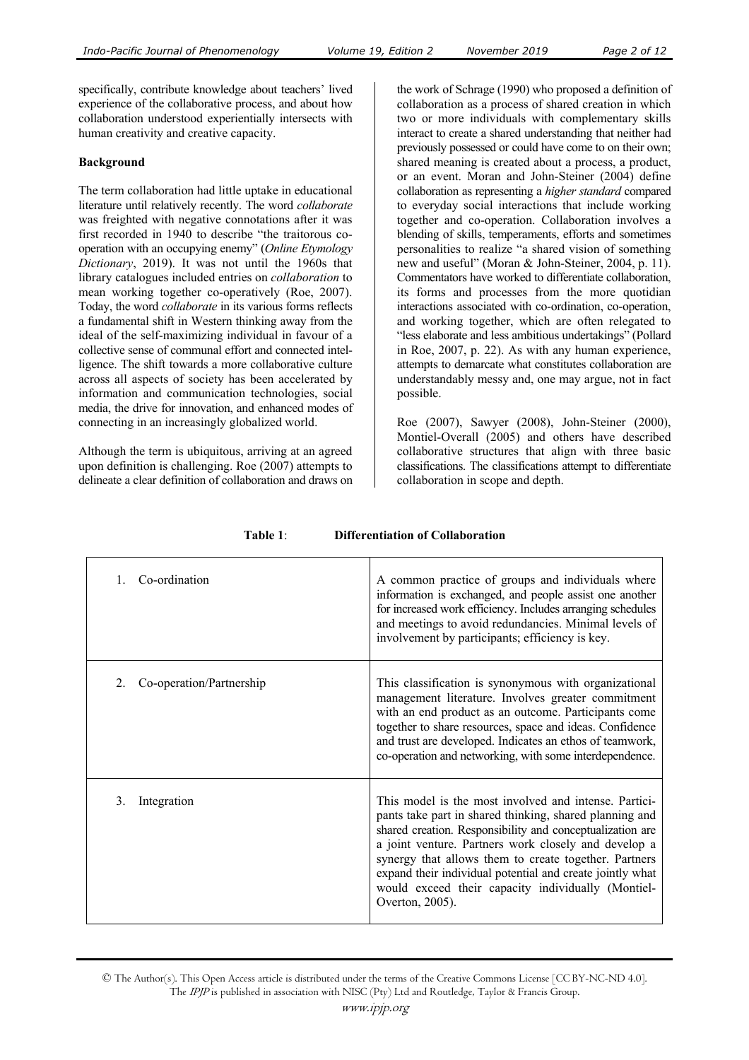specifically, contribute knowledge about teachers' lived experience of the collaborative process, and about how collaboration understood experientially intersects with human creativity and creative capacity.

#### **Background**

The term collaboration had little uptake in educational literature until relatively recently. The word *collaborate* was freighted with negative connotations after it was first recorded in 1940 to describe "the traitorous cooperation with an occupying enemy" (*Online Etymology Dictionary*, 2019). It was not until the 1960s that library catalogues included entries on *collaboration* to mean working together co-operatively (Roe, 2007). Today, the word *collaborate* in its various forms reflects a fundamental shift in Western thinking away from the ideal of the self-maximizing individual in favour of a collective sense of communal effort and connected intelligence. The shift towards a more collaborative culture across all aspects of society has been accelerated by information and communication technologies, social media, the drive for innovation, and enhanced modes of connecting in an increasingly globalized world.

Although the term is ubiquitous, arriving at an agreed upon definition is challenging. Roe (2007) attempts to delineate a clear definition of collaboration and draws on

the work of Schrage (1990) who proposed a definition of collaboration as a process of shared creation in which two or more individuals with complementary skills interact to create a shared understanding that neither had previously possessed or could have come to on their own; shared meaning is created about a process, a product, or an event. Moran and John-Steiner (2004) define collaboration as representing a *higher standard* compared to everyday social interactions that include working together and co-operation. Collaboration involves a blending of skills, temperaments, efforts and sometimes personalities to realize "a shared vision of something new and useful" (Moran & John-Steiner, 2004, p. 11). Commentators have worked to differentiate collaboration, its forms and processes from the more quotidian interactions associated with co-ordination, co-operation, and working together, which are often relegated to "less elaborate and less ambitious undertakings" (Pollard in Roe, 2007, p. 22). As with any human experience, attempts to demarcate what constitutes collaboration are understandably messy and, one may argue, not in fact possible.

Roe (2007), Sawyer (2008), John-Steiner (2000), Montiel-Overall (2005) and others have described collaborative structures that align with three basic classifications. The classifications attempt to differentiate collaboration in scope and depth.

| Co-ordination<br>$\mathbf{1}$ . | A common practice of groups and individuals where<br>information is exchanged, and people assist one another<br>for increased work efficiency. Includes arranging schedules<br>and meetings to avoid redundancies. Minimal levels of<br>involvement by participants; efficiency is key.                                                                                                                                              |
|---------------------------------|--------------------------------------------------------------------------------------------------------------------------------------------------------------------------------------------------------------------------------------------------------------------------------------------------------------------------------------------------------------------------------------------------------------------------------------|
| Co-operation/Partnership<br>2   | This classification is synonymous with organizational<br>management literature. Involves greater commitment<br>with an end product as an outcome. Participants come<br>together to share resources, space and ideas. Confidence<br>and trust are developed. Indicates an ethos of teamwork,<br>co-operation and networking, with some interdependence.                                                                               |
| Integration<br>3.               | This model is the most involved and intense. Partici-<br>pants take part in shared thinking, shared planning and<br>shared creation. Responsibility and conceptualization are<br>a joint venture. Partners work closely and develop a<br>synergy that allows them to create together. Partners<br>expand their individual potential and create jointly what<br>would exceed their capacity individually (Montiel-<br>Overton, 2005). |

**Table 1**: **Differentiation of Collaboration**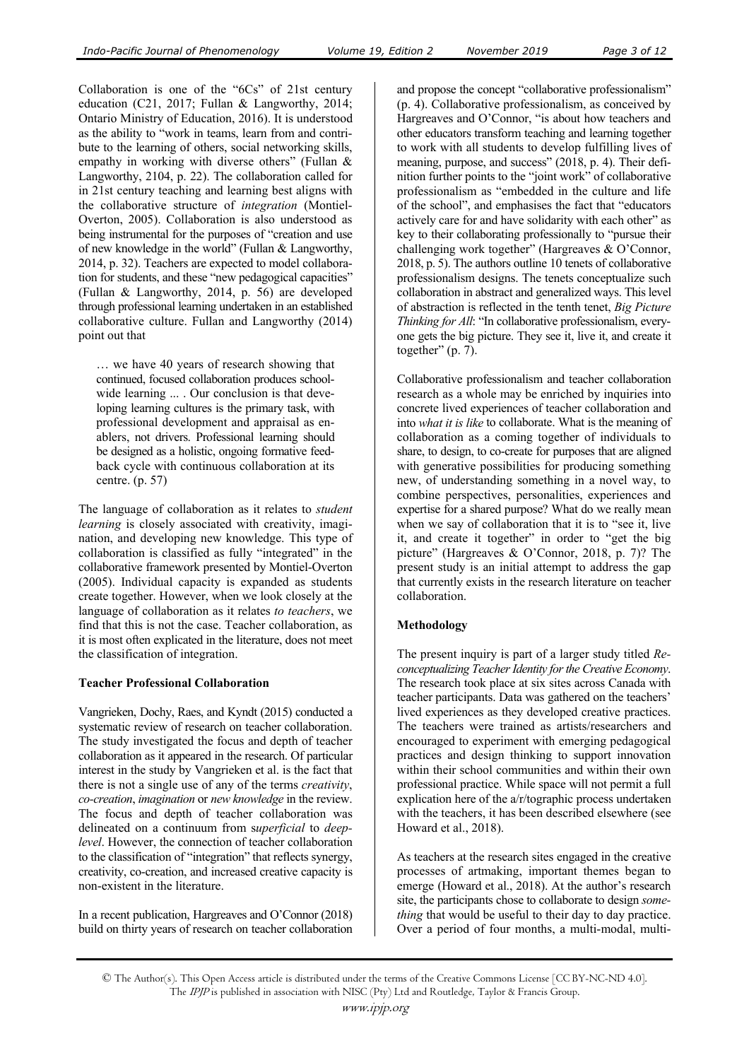Collaboration is one of the "6Cs" of 21st century education (C21, 2017; Fullan & Langworthy, 2014; Ontario Ministry of Education, 2016). It is understood as the ability to "work in teams, learn from and contribute to the learning of others, social networking skills, empathy in working with diverse others" (Fullan & Langworthy, 2104, p. 22). The collaboration called for in 21st century teaching and learning best aligns with the collaborative structure of *integration* (Montiel-Overton, 2005). Collaboration is also understood as being instrumental for the purposes of "creation and use of new knowledge in the world" (Fullan & Langworthy, 2014, p. 32). Teachers are expected to model collaboration for students, and these "new pedagogical capacities" (Fullan & Langworthy, 2014, p. 56) are developed through professional learning undertaken in an established collaborative culture. Fullan and Langworthy (2014) point out that

… we have 40 years of research showing that continued, focused collaboration produces schoolwide learning ... . Our conclusion is that developing learning cultures is the primary task, with professional development and appraisal as enablers, not drivers. Professional learning should be designed as a holistic, ongoing formative feedback cycle with continuous collaboration at its centre. (p. 57)

The language of collaboration as it relates to *student learning* is closely associated with creativity, imagination, and developing new knowledge. This type of collaboration is classified as fully "integrated" in the collaborative framework presented by Montiel-Overton (2005). Individual capacity is expanded as students create together. However, when we look closely at the language of collaboration as it relates *to teachers*, we find that this is not the case. Teacher collaboration, as it is most often explicated in the literature, does not meet the classification of integration.

#### **Teacher Professional Collaboration**

Vangrieken, Dochy, Raes, and Kyndt (2015) conducted a systematic review of research on teacher collaboration. The study investigated the focus and depth of teacher collaboration as it appeared in the research. Of particular interest in the study by Vangrieken et al. is the fact that there is not a single use of any of the terms *creativity*, *co-creation*, *imagination* or *new knowledge* in the review. The focus and depth of teacher collaboration was delineated on a continuum from s*uperficial* to *deeplevel*. However, the connection of teacher collaboration to the classification of "integration" that reflects synergy, creativity, co-creation, and increased creative capacity is non-existent in the literature.

In a recent publication, Hargreaves and O'Connor (2018) build on thirty years of research on teacher collaboration and propose the concept "collaborative professionalism" (p. 4). Collaborative professionalism, as conceived by Hargreaves and O'Connor, "is about how teachers and other educators transform teaching and learning together to work with all students to develop fulfilling lives of meaning, purpose, and success" (2018, p. 4). Their definition further points to the "joint work" of collaborative professionalism as "embedded in the culture and life of the school", and emphasises the fact that "educators actively care for and have solidarity with each other" as key to their collaborating professionally to "pursue their challenging work together" (Hargreaves & O'Connor, 2018, p. 5). The authors outline 10 tenets of collaborative professionalism designs. The tenets conceptualize such collaboration in abstract and generalized ways. This level of abstraction is reflected in the tenth tenet, *Big Picture Thinking for All*: "In collaborative professionalism, everyone gets the big picture. They see it, live it, and create it together"  $(p. 7)$ .

Collaborative professionalism and teacher collaboration research as a whole may be enriched by inquiries into concrete lived experiences of teacher collaboration and into *what it is like* to collaborate. What is the meaning of collaboration as a coming together of individuals to share, to design, to co-create for purposes that are aligned with generative possibilities for producing something new, of understanding something in a novel way, to combine perspectives, personalities, experiences and expertise for a shared purpose? What do we really mean when we say of collaboration that it is to "see it, live it, and create it together" in order to "get the big picture" (Hargreaves & O'Connor, 2018, p. 7)? The present study is an initial attempt to address the gap that currently exists in the research literature on teacher collaboration.

## **Methodology**

The present inquiry is part of a larger study titled *Reconceptualizing Teacher Identity for the Creative Economy*. The research took place at six sites across Canada with teacher participants. Data was gathered on the teachers' lived experiences as they developed creative practices. The teachers were trained as artists/researchers and encouraged to experiment with emerging pedagogical practices and design thinking to support innovation within their school communities and within their own professional practice. While space will not permit a full explication here of the a/r/tographic process undertaken with the teachers, it has been described elsewhere (see Howard et al., 2018).

As teachers at the research sites engaged in the creative processes of artmaking, important themes began to emerge (Howard et al., 2018). At the author's research site, the participants chose to collaborate to design *something* that would be useful to their day to day practice. Over a period of four months, a multi-modal, multi-

<sup>©</sup> The Author(s). This Open Access article is distributed under the terms of the Creative Commons License [CC BY-NC-ND 4.0]. The IPJP is published in association with NISC (Pty) Ltd and Routledge, Taylor & Francis Group.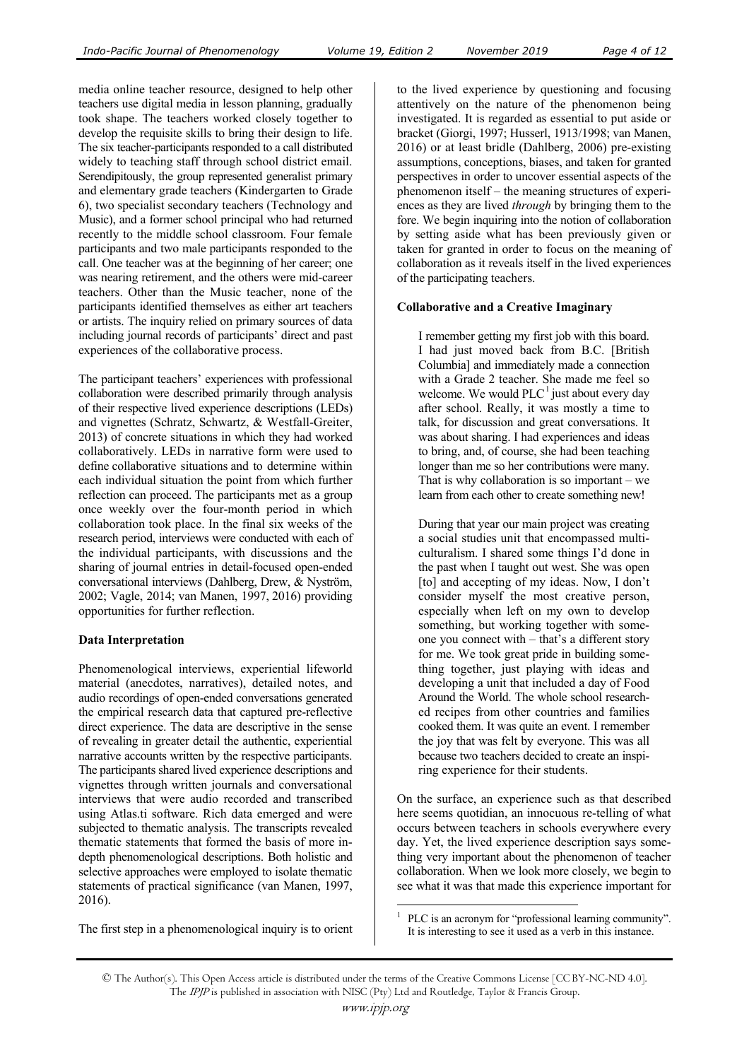media online teacher resource, designed to help other teachers use digital media in lesson planning, gradually took shape. The teachers worked closely together to develop the requisite skills to bring their design to life. The six teacher-participants responded to a call distributed widely to teaching staff through school district email. Serendipitously, the group represented generalist primary and elementary grade teachers (Kindergarten to Grade 6), two specialist secondary teachers (Technology and Music), and a former school principal who had returned recently to the middle school classroom. Four female participants and two male participants responded to the call. One teacher was at the beginning of her career; one was nearing retirement, and the others were mid-career teachers. Other than the Music teacher, none of the participants identified themselves as either art teachers or artists. The inquiry relied on primary sources of data including journal records of participants' direct and past experiences of the collaborative process.

The participant teachers' experiences with professional collaboration were described primarily through analysis of their respective lived experience descriptions (LEDs) and vignettes (Schratz, Schwartz, & Westfall-Greiter, 2013) of concrete situations in which they had worked collaboratively. LEDs in narrative form were used to define collaborative situations and to determine within each individual situation the point from which further reflection can proceed. The participants met as a group once weekly over the four-month period in which collaboration took place. In the final six weeks of the research period, interviews were conducted with each of the individual participants, with discussions and the sharing of journal entries in detail-focused open-ended conversational interviews (Dahlberg, Drew, & Nyström, 2002; Vagle, 2014; van Manen, 1997, 2016) providing opportunities for further reflection.

## **Data Interpretation**

Phenomenological interviews, experiential lifeworld material (anecdotes, narratives), detailed notes, and audio recordings of open-ended conversations generated the empirical research data that captured pre-reflective direct experience. The data are descriptive in the sense of revealing in greater detail the authentic, experiential narrative accounts written by the respective participants. The participants shared lived experience descriptions and vignettes through written journals and conversational interviews that were audio recorded and transcribed using Atlas.ti software. Rich data emerged and were subjected to thematic analysis. The transcripts revealed thematic statements that formed the basis of more indepth phenomenological descriptions. Both holistic and selective approaches were employed to isolate thematic statements of practical significance (van Manen, 1997, 2016).

The first step in a phenomenological inquiry is to orient

to the lived experience by questioning and focusing attentively on the nature of the phenomenon being investigated. It is regarded as essential to put aside or bracket (Giorgi, 1997; Husserl, 1913/1998; van Manen, 2016) or at least bridle (Dahlberg, 2006) pre-existing assumptions, conceptions, biases, and taken for granted perspectives in order to uncover essential aspects of the phenomenon itself – the meaning structures of experiences as they are lived *through* by bringing them to the fore. We begin inquiring into the notion of collaboration by setting aside what has been previously given or taken for granted in order to focus on the meaning of collaboration as it reveals itself in the lived experiences of the participating teachers.

### **Collaborative and a Creative Imaginary**

I remember getting my first job with this board. I had just moved back from B.C. [British Columbia] and immediately made a connection with a Grade 2 teacher. She made me feel so welcome. We would  $PLC<sup>1</sup>$  just about every day after school. Really, it was mostly a time to talk, for discussion and great conversations. It was about sharing. I had experiences and ideas to bring, and, of course, she had been teaching longer than me so her contributions were many. That is why collaboration is so important – we learn from each other to create something new!

During that year our main project was creating a social studies unit that encompassed multiculturalism. I shared some things I'd done in the past when I taught out west. She was open [to] and accepting of my ideas. Now, I don't consider myself the most creative person, especially when left on my own to develop something, but working together with someone you connect with – that's a different story for me. We took great pride in building something together, just playing with ideas and developing a unit that included a day of Food Around the World. The whole school researched recipes from other countries and families cooked them. It was quite an event. I remember the joy that was felt by everyone. This was all because two teachers decided to create an inspiring experience for their students.

On the surface, an experience such as that described here seems quotidian, an innocuous re-telling of what occurs between teachers in schools everywhere every day. Yet, the lived experience description says something very important about the phenomenon of teacher collaboration. When we look more closely, we begin to see what it was that made this experience important for

 $\overline{a}$ 1 PLC is an acronym for "professional learning community". It is interesting to see it used as a verb in this instance.

<sup>©</sup> The Author(s). This Open Access article is distributed under the terms of the Creative Commons License [CC BY-NC-ND 4.0]. The IPJP is published in association with NISC (Pty) Ltd and Routledge, Taylor & Francis Group.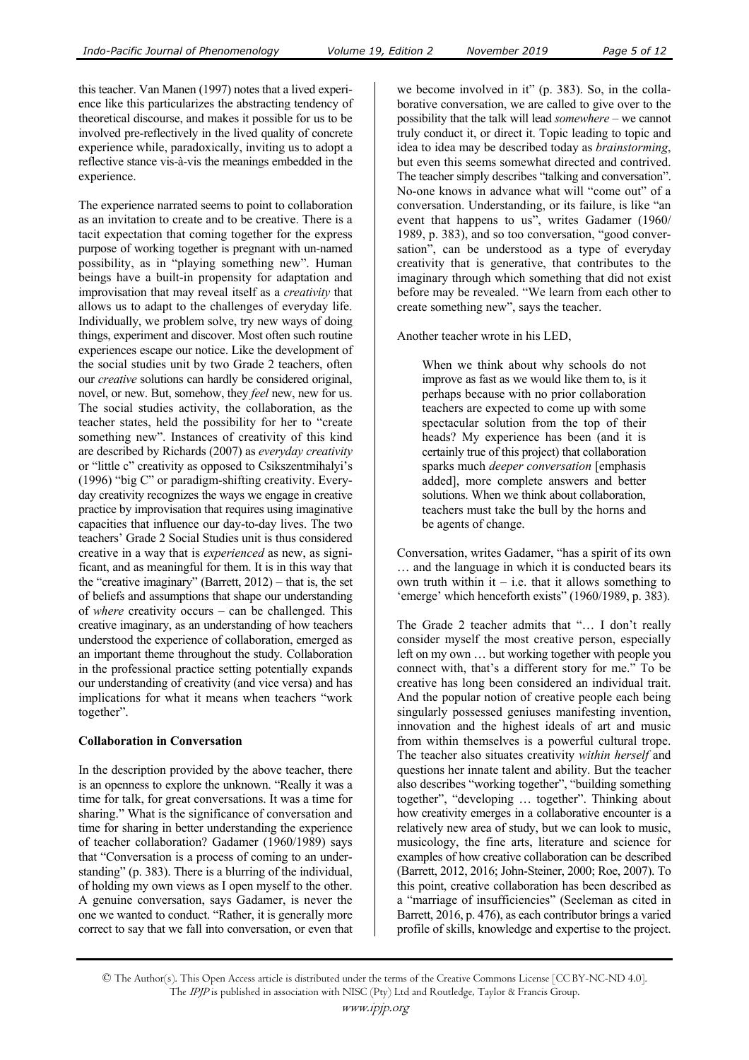this teacher. Van Manen (1997) notes that a lived experience like this particularizes the abstracting tendency of theoretical discourse, and makes it possible for us to be involved pre-reflectively in the lived quality of concrete experience while, paradoxically, inviting us to adopt a reflective stance vis-à-vis the meanings embedded in the experience.

The experience narrated seems to point to collaboration as an invitation to create and to be creative. There is a tacit expectation that coming together for the express purpose of working together is pregnant with un-named possibility, as in "playing something new". Human beings have a built-in propensity for adaptation and improvisation that may reveal itself as a *creativity* that allows us to adapt to the challenges of everyday life. Individually, we problem solve, try new ways of doing things, experiment and discover. Most often such routine experiences escape our notice. Like the development of the social studies unit by two Grade 2 teachers, often our *creative* solutions can hardly be considered original, novel, or new. But, somehow, they *feel* new, new for us. The social studies activity, the collaboration, as the teacher states, held the possibility for her to "create something new". Instances of creativity of this kind are described by Richards (2007) as *everyday creativity* or "little c" creativity as opposed to Csikszentmihalyi's (1996) "big C" or paradigm-shifting creativity. Everyday creativity recognizes the ways we engage in creative practice by improvisation that requires using imaginative capacities that influence our day-to-day lives. The two teachers' Grade 2 Social Studies unit is thus considered creative in a way that is *experienced* as new, as significant, and as meaningful for them. It is in this way that the "creative imaginary" (Barrett, 2012) – that is, the set of beliefs and assumptions that shape our understanding of *where* creativity occurs – can be challenged. This creative imaginary, as an understanding of how teachers understood the experience of collaboration, emerged as an important theme throughout the study. Collaboration in the professional practice setting potentially expands our understanding of creativity (and vice versa) and has implications for what it means when teachers "work together".

#### **Collaboration in Conversation**

In the description provided by the above teacher, there is an openness to explore the unknown. "Really it was a time for talk, for great conversations. It was a time for sharing." What is the significance of conversation and time for sharing in better understanding the experience of teacher collaboration? Gadamer (1960/1989) says that "Conversation is a process of coming to an understanding" (p. 383). There is a blurring of the individual, of holding my own views as I open myself to the other. A genuine conversation, says Gadamer, is never the one we wanted to conduct. "Rather, it is generally more correct to say that we fall into conversation, or even that

we become involved in it" (p. 383). So, in the collaborative conversation, we are called to give over to the possibility that the talk will lead *somewhere* – we cannot truly conduct it, or direct it. Topic leading to topic and idea to idea may be described today as *brainstorming*, but even this seems somewhat directed and contrived. The teacher simply describes "talking and conversation". No-one knows in advance what will "come out" of a conversation. Understanding, or its failure, is like "an event that happens to us", writes Gadamer (1960/ 1989, p. 383), and so too conversation, "good conversation", can be understood as a type of everyday creativity that is generative, that contributes to the imaginary through which something that did not exist before may be revealed. "We learn from each other to create something new", says the teacher.

Another teacher wrote in his LED,

When we think about why schools do not improve as fast as we would like them to, is it perhaps because with no prior collaboration teachers are expected to come up with some spectacular solution from the top of their heads? My experience has been (and it is certainly true of this project) that collaboration sparks much *deeper conversation* [emphasis added], more complete answers and better solutions. When we think about collaboration, teachers must take the bull by the horns and be agents of change.

Conversation, writes Gadamer, "has a spirit of its own … and the language in which it is conducted bears its own truth within it  $-$  i.e. that it allows something to 'emerge' which henceforth exists" (1960/1989, p. 383).

The Grade 2 teacher admits that "… I don't really consider myself the most creative person, especially left on my own … but working together with people you connect with, that's a different story for me." To be creative has long been considered an individual trait. And the popular notion of creative people each being singularly possessed geniuses manifesting invention, innovation and the highest ideals of art and music from within themselves is a powerful cultural trope. The teacher also situates creativity *within herself* and questions her innate talent and ability. But the teacher also describes "working together", "building something together", "developing … together". Thinking about how creativity emerges in a collaborative encounter is a relatively new area of study, but we can look to music, musicology, the fine arts, literature and science for examples of how creative collaboration can be described (Barrett, 2012, 2016; John-Steiner, 2000; Roe, 2007). To this point, creative collaboration has been described as a "marriage of insufficiencies" (Seeleman as cited in Barrett, 2016, p. 476), as each contributor brings a varied profile of skills, knowledge and expertise to the project.

<sup>©</sup> The Author(s). This Open Access article is distributed under the terms of the Creative Commons License [CC BY-NC-ND 4.0]. The IPJP is published in association with NISC (Pty) Ltd and Routledge, Taylor & Francis Group.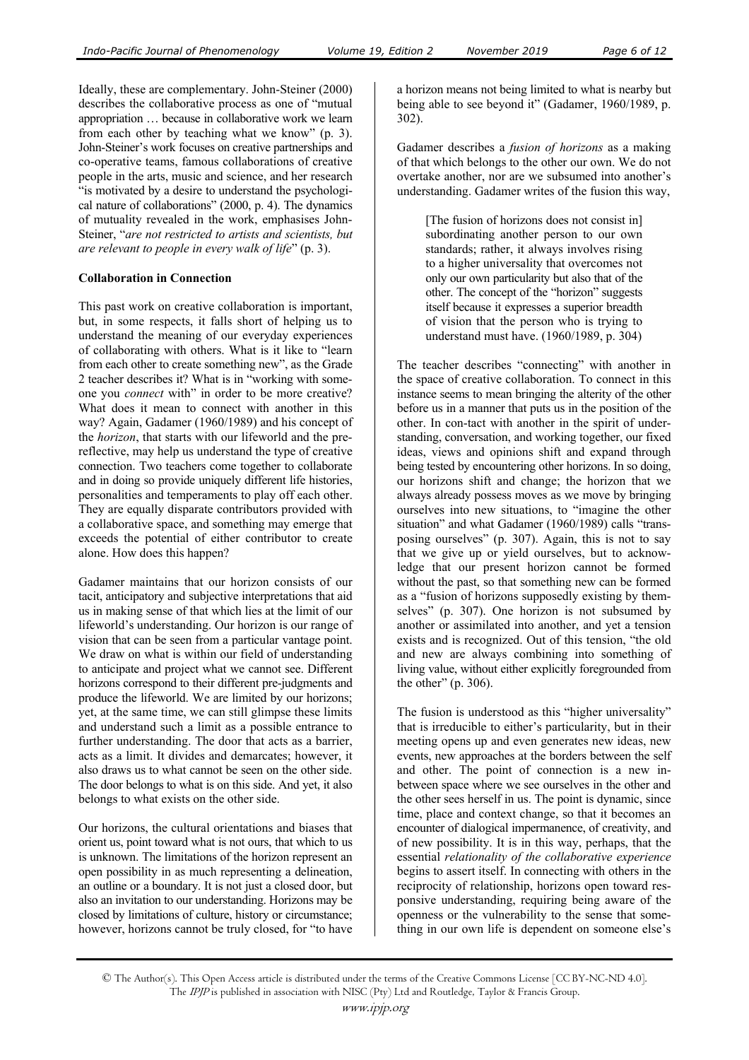Ideally, these are complementary. John-Steiner (2000) describes the collaborative process as one of "mutual appropriation … because in collaborative work we learn from each other by teaching what we know" (p. 3). John-Steiner's work focuses on creative partnerships and co-operative teams, famous collaborations of creative people in the arts, music and science, and her research "is motivated by a desire to understand the psychological nature of collaborations" (2000, p. 4). The dynamics of mutuality revealed in the work, emphasises John-Steiner, "*are not restricted to artists and scientists, but are relevant to people in every walk of life*" (p. 3).

## **Collaboration in Connection**

This past work on creative collaboration is important, but, in some respects, it falls short of helping us to understand the meaning of our everyday experiences of collaborating with others. What is it like to "learn from each other to create something new", as the Grade 2 teacher describes it? What is in "working with someone you *connect* with" in order to be more creative? What does it mean to connect with another in this way? Again, Gadamer (1960/1989) and his concept of the *horizon*, that starts with our lifeworld and the prereflective, may help us understand the type of creative connection. Two teachers come together to collaborate and in doing so provide uniquely different life histories, personalities and temperaments to play off each other. They are equally disparate contributors provided with a collaborative space, and something may emerge that exceeds the potential of either contributor to create alone. How does this happen?

Gadamer maintains that our horizon consists of our tacit, anticipatory and subjective interpretations that aid us in making sense of that which lies at the limit of our lifeworld's understanding. Our horizon is our range of vision that can be seen from a particular vantage point. We draw on what is within our field of understanding to anticipate and project what we cannot see. Different horizons correspond to their different pre-judgments and produce the lifeworld. We are limited by our horizons; yet, at the same time, we can still glimpse these limits and understand such a limit as a possible entrance to further understanding. The door that acts as a barrier, acts as a limit. It divides and demarcates; however, it also draws us to what cannot be seen on the other side. The door belongs to what is on this side. And yet, it also belongs to what exists on the other side.

Our horizons, the cultural orientations and biases that orient us, point toward what is not ours, that which to us is unknown. The limitations of the horizon represent an open possibility in as much representing a delineation, an outline or a boundary. It is not just a closed door, but also an invitation to our understanding. Horizons may be closed by limitations of culture, history or circumstance; however, horizons cannot be truly closed, for "to have a horizon means not being limited to what is nearby but being able to see beyond it" (Gadamer, 1960/1989, p. 302).

Gadamer describes a *fusion of horizons* as a making of that which belongs to the other our own. We do not overtake another, nor are we subsumed into another's understanding. Gadamer writes of the fusion this way,

[The fusion of horizons does not consist in] subordinating another person to our own standards; rather, it always involves rising to a higher universality that overcomes not only our own particularity but also that of the other. The concept of the "horizon" suggests itself because it expresses a superior breadth of vision that the person who is trying to understand must have. (1960/1989, p. 304)

The teacher describes "connecting" with another in the space of creative collaboration. To connect in this instance seems to mean bringing the alterity of the other before us in a manner that puts us in the position of the other. In con-tact with another in the spirit of understanding, conversation, and working together, our fixed ideas, views and opinions shift and expand through being tested by encountering other horizons. In so doing, our horizons shift and change; the horizon that we always already possess moves as we move by bringing ourselves into new situations, to "imagine the other situation" and what Gadamer (1960/1989) calls "transposing ourselves" (p. 307). Again, this is not to say that we give up or yield ourselves, but to acknowledge that our present horizon cannot be formed without the past, so that something new can be formed as a "fusion of horizons supposedly existing by themselves" (p. 307). One horizon is not subsumed by another or assimilated into another, and yet a tension exists and is recognized. Out of this tension, "the old and new are always combining into something of living value, without either explicitly foregrounded from the other" (p. 306).

The fusion is understood as this "higher universality" that is irreducible to either's particularity, but in their meeting opens up and even generates new ideas, new events, new approaches at the borders between the self and other. The point of connection is a new inbetween space where we see ourselves in the other and the other sees herself in us. The point is dynamic, since time, place and context change, so that it becomes an encounter of dialogical impermanence, of creativity, and of new possibility. It is in this way, perhaps, that the essential *relationality of the collaborative experience* begins to assert itself. In connecting with others in the reciprocity of relationship, horizons open toward responsive understanding, requiring being aware of the openness or the vulnerability to the sense that something in our own life is dependent on someone else's

<sup>©</sup> The Author(s). This Open Access article is distributed under the terms of the Creative Commons License [CC BY-NC-ND 4.0]. The IPJP is published in association with NISC (Pty) Ltd and Routledge, Taylor & Francis Group.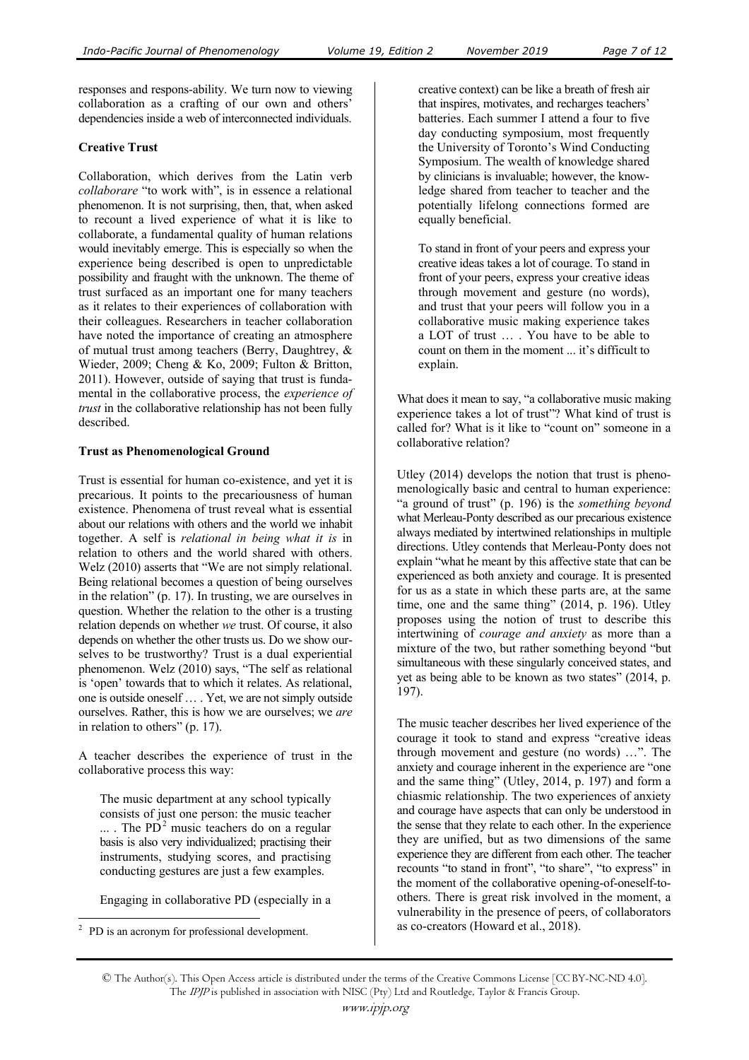responses and respons-ability. We turn now to viewing collaboration as a crafting of our own and others' dependencies inside a web of interconnected individuals.

## **Creative Trust**

Collaboration, which derives from the Latin verb *collaborare* "to work with", is in essence a relational phenomenon. It is not surprising, then, that, when asked to recount a lived experience of what it is like to collaborate, a fundamental quality of human relations would inevitably emerge. This is especially so when the experience being described is open to unpredictable possibility and fraught with the unknown. The theme of trust surfaced as an important one for many teachers as it relates to their experiences of collaboration with their colleagues. Researchers in teacher collaboration have noted the importance of creating an atmosphere of mutual trust among teachers (Berry, Daughtrey, & Wieder, 2009; Cheng & Ko, 2009; Fulton & Britton, 2011). However, outside of saying that trust is fundamental in the collaborative process, the *experience of trust* in the collaborative relationship has not been fully described.

### **Trust as Phenomenological Ground**

Trust is essential for human co-existence, and yet it is precarious. It points to the precariousness of human existence. Phenomena of trust reveal what is essential about our relations with others and the world we inhabit together. A self is *relational in being what it is* in relation to others and the world shared with others. Welz (2010) asserts that "We are not simply relational. Being relational becomes a question of being ourselves in the relation" (p. 17). In trusting, we are ourselves in question. Whether the relation to the other is a trusting relation depends on whether *we* trust. Of course, it also depends on whether the other trusts us. Do we show ourselves to be trustworthy? Trust is a dual experiential phenomenon. Welz (2010) says, "The self as relational is 'open' towards that to which it relates. As relational, one is outside oneself … . Yet, we are not simply outside ourselves. Rather, this is how we are ourselves; we *are* in relation to others" (p. 17).

A teacher describes the experience of trust in the collaborative process this way:

The music department at any school typically consists of just one person: the music teacher  $\ldots$ . The PD<sup>2</sup> music teachers do on a regular basis is also very individualized; practising their instruments, studying scores, and practising conducting gestures are just a few examples.

Engaging in collaborative PD (especially in a

 $\overline{a}$ 

creative context) can be like a breath of fresh air that inspires, motivates, and recharges teachers' batteries. Each summer I attend a four to five day conducting symposium, most frequently the University of Toronto's Wind Conducting Symposium. The wealth of knowledge shared by clinicians is invaluable; however, the knowledge shared from teacher to teacher and the potentially lifelong connections formed are equally beneficial.

To stand in front of your peers and express your creative ideas takes a lot of courage. To stand in front of your peers, express your creative ideas through movement and gesture (no words), and trust that your peers will follow you in a collaborative music making experience takes a LOT of trust … . You have to be able to count on them in the moment ... it's difficult to explain.

What does it mean to say, "a collaborative music making experience takes a lot of trust"? What kind of trust is called for? What is it like to "count on" someone in a collaborative relation?

Utley (2014) develops the notion that trust is phenomenologically basic and central to human experience: "a ground of trust" (p. 196) is the *something beyond* what Merleau-Ponty described as our precarious existence always mediated by intertwined relationships in multiple directions. Utley contends that Merleau-Ponty does not explain "what he meant by this affective state that can be experienced as both anxiety and courage. It is presented for us as a state in which these parts are, at the same time, one and the same thing" (2014, p. 196). Utley proposes using the notion of trust to describe this intertwining of *courage and anxiety* as more than a mixture of the two, but rather something beyond "but simultaneous with these singularly conceived states, and yet as being able to be known as two states" (2014, p. 197).

The music teacher describes her lived experience of the courage it took to stand and express "creative ideas through movement and gesture (no words) …". The anxiety and courage inherent in the experience are "one and the same thing" (Utley, 2014, p. 197) and form a chiasmic relationship. The two experiences of anxiety and courage have aspects that can only be understood in the sense that they relate to each other. In the experience they are unified, but as two dimensions of the same experience they are different from each other. The teacher recounts "to stand in front", "to share", "to express" in the moment of the collaborative opening-of-oneself-toothers. There is great risk involved in the moment, a vulnerability in the presence of peers, of collaborators as co-creators (Howard et al., 2018).

<sup>2</sup> PD is an acronym for professional development.

<sup>©</sup> The Author(s). This Open Access article is distributed under the terms of the Creative Commons License [CC BY-NC-ND 4.0]. The IPJP is published in association with NISC (Pty) Ltd and Routledge, Taylor & Francis Group.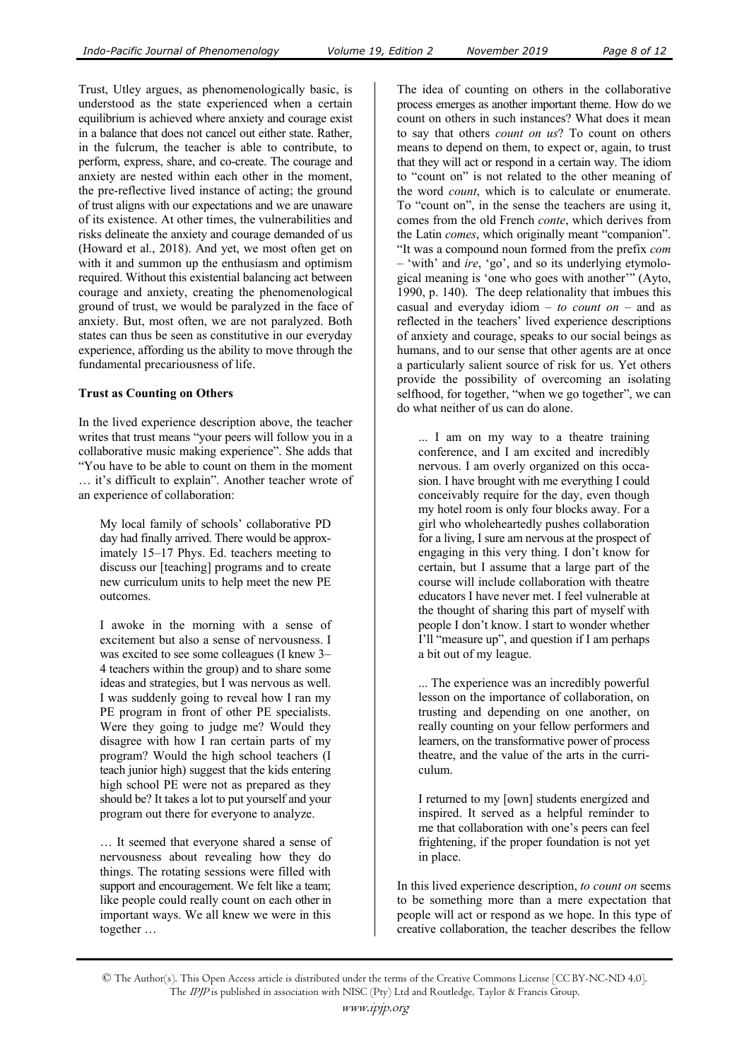Trust, Utley argues, as phenomenologically basic, is understood as the state experienced when a certain equilibrium is achieved where anxiety and courage exist in a balance that does not cancel out either state. Rather, in the fulcrum, the teacher is able to contribute, to perform, express, share, and co-create. The courage and anxiety are nested within each other in the moment, the pre-reflective lived instance of acting; the ground of trust aligns with our expectations and we are unaware of its existence. At other times, the vulnerabilities and risks delineate the anxiety and courage demanded of us (Howard et al., 2018). And yet, we most often get on with it and summon up the enthusiasm and optimism required. Without this existential balancing act between courage and anxiety, creating the phenomenological ground of trust, we would be paralyzed in the face of anxiety. But, most often, we are not paralyzed. Both states can thus be seen as constitutive in our everyday experience, affording us the ability to move through the fundamental precariousness of life.

#### **Trust as Counting on Others**

In the lived experience description above, the teacher writes that trust means "your peers will follow you in a collaborative music making experience". She adds that "You have to be able to count on them in the moment … it's difficult to explain". Another teacher wrote of an experience of collaboration:

My local family of schools' collaborative PD day had finally arrived. There would be approximately 15–17 Phys. Ed. teachers meeting to discuss our [teaching] programs and to create new curriculum units to help meet the new PE outcomes.

I awoke in the morning with a sense of excitement but also a sense of nervousness. I was excited to see some colleagues (I knew 3– 4 teachers within the group) and to share some ideas and strategies, but I was nervous as well. I was suddenly going to reveal how I ran my PE program in front of other PE specialists. Were they going to judge me? Would they disagree with how I ran certain parts of my program? Would the high school teachers (I teach junior high) suggest that the kids entering high school PE were not as prepared as they should be? It takes a lot to put yourself and your program out there for everyone to analyze.

… It seemed that everyone shared a sense of nervousness about revealing how they do things. The rotating sessions were filled with support and encouragement. We felt like a team; like people could really count on each other in important ways. We all knew we were in this together …

The idea of counting on others in the collaborative process emerges as another important theme. How do we count on others in such instances? What does it mean to say that others *count on us*? To count on others means to depend on them, to expect or, again, to trust that they will act or respond in a certain way. The idiom to "count on" is not related to the other meaning of the word *count*, which is to calculate or enumerate. To "count on", in the sense the teachers are using it, comes from the old French *conte*, which derives from the Latin *comes*, which originally meant "companion". "It was a compound noun formed from the prefix *com* – 'with' and *ire*, 'go', and so its underlying etymological meaning is 'one who goes with another'" (Ayto, 1990, p. 140). The deep relationality that imbues this casual and everyday idiom – *to count on* – and as reflected in the teachers' lived experience descriptions of anxiety and courage, speaks to our social beings as humans, and to our sense that other agents are at once a particularly salient source of risk for us. Yet others provide the possibility of overcoming an isolating selfhood, for together, "when we go together", we can do what neither of us can do alone.

... I am on my way to a theatre training conference, and I am excited and incredibly nervous. I am overly organized on this occasion. I have brought with me everything I could conceivably require for the day, even though my hotel room is only four blocks away. For a girl who wholeheartedly pushes collaboration for a living, I sure am nervous at the prospect of engaging in this very thing. I don't know for certain, but I assume that a large part of the course will include collaboration with theatre educators I have never met. I feel vulnerable at the thought of sharing this part of myself with people I don't know. I start to wonder whether I'll "measure up", and question if I am perhaps a bit out of my league.

... The experience was an incredibly powerful lesson on the importance of collaboration, on trusting and depending on one another, on really counting on your fellow performers and learners, on the transformative power of process theatre, and the value of the arts in the curriculum.

I returned to my [own] students energized and inspired. It served as a helpful reminder to me that collaboration with one's peers can feel frightening, if the proper foundation is not yet in place.

In this lived experience description, *to count on* seems to be something more than a mere expectation that people will act or respond as we hope. In this type of creative collaboration, the teacher describes the fellow

<sup>©</sup> The Author(s). This Open Access article is distributed under the terms of the Creative Commons License [CC BY-NC-ND 4.0]. The IPJP is published in association with NISC (Pty) Ltd and Routledge, Taylor & Francis Group.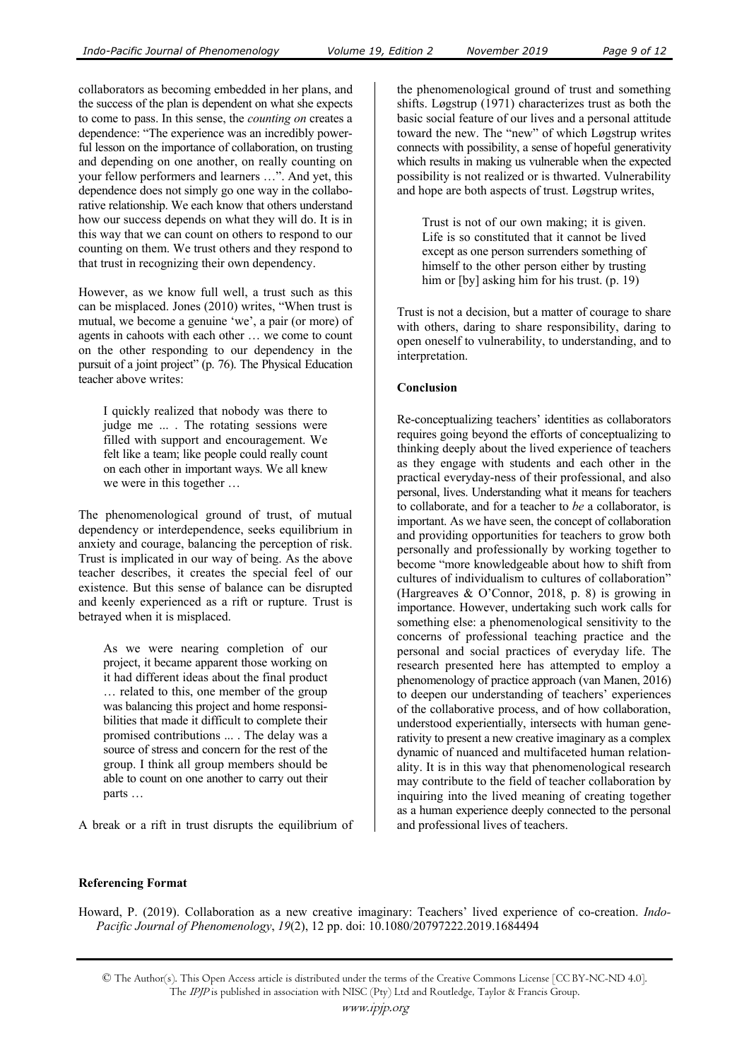collaborators as becoming embedded in her plans, and the success of the plan is dependent on what she expects to come to pass. In this sense, the *counting on* creates a dependence: "The experience was an incredibly powerful lesson on the importance of collaboration, on trusting and depending on one another, on really counting on your fellow performers and learners …". And yet, this dependence does not simply go one way in the collaborative relationship. We each know that others understand how our success depends on what they will do. It is in this way that we can count on others to respond to our counting on them. We trust others and they respond to that trust in recognizing their own dependency.

However, as we know full well, a trust such as this can be misplaced. Jones (2010) writes, "When trust is mutual, we become a genuine 'we', a pair (or more) of agents in cahoots with each other … we come to count on the other responding to our dependency in the pursuit of a joint project" (p. 76). The Physical Education teacher above writes:

I quickly realized that nobody was there to judge me ... . The rotating sessions were filled with support and encouragement. We felt like a team; like people could really count on each other in important ways. We all knew we were in this together …

The phenomenological ground of trust, of mutual dependency or interdependence, seeks equilibrium in anxiety and courage, balancing the perception of risk. Trust is implicated in our way of being. As the above teacher describes, it creates the special feel of our existence. But this sense of balance can be disrupted and keenly experienced as a rift or rupture. Trust is betrayed when it is misplaced.

As we were nearing completion of our project, it became apparent those working on it had different ideas about the final product … related to this, one member of the group was balancing this project and home responsibilities that made it difficult to complete their promised contributions ... . The delay was a source of stress and concern for the rest of the group. I think all group members should be able to count on one another to carry out their parts …

A break or a rift in trust disrupts the equilibrium of

the phenomenological ground of trust and something shifts. Løgstrup (1971) characterizes trust as both the basic social feature of our lives and a personal attitude toward the new. The "new" of which Løgstrup writes connects with possibility, a sense of hopeful generativity which results in making us vulnerable when the expected possibility is not realized or is thwarted. Vulnerability and hope are both aspects of trust. Løgstrup writes,

Trust is not of our own making; it is given. Life is so constituted that it cannot be lived except as one person surrenders something of himself to the other person either by trusting him or [by] asking him for his trust. (p. 19)

Trust is not a decision, but a matter of courage to share with others, daring to share responsibility, daring to open oneself to vulnerability, to understanding, and to interpretation.

### **Conclusion**

Re-conceptualizing teachers' identities as collaborators requires going beyond the efforts of conceptualizing to thinking deeply about the lived experience of teachers as they engage with students and each other in the practical everyday-ness of their professional, and also personal, lives. Understanding what it means for teachers to collaborate, and for a teacher to *be* a collaborator, is important. As we have seen, the concept of collaboration and providing opportunities for teachers to grow both personally and professionally by working together to become "more knowledgeable about how to shift from cultures of individualism to cultures of collaboration" (Hargreaves & O'Connor, 2018, p. 8) is growing in importance. However, undertaking such work calls for something else: a phenomenological sensitivity to the concerns of professional teaching practice and the personal and social practices of everyday life. The research presented here has attempted to employ a phenomenology of practice approach (van Manen, 2016) to deepen our understanding of teachers' experiences of the collaborative process, and of how collaboration, understood experientially, intersects with human generativity to present a new creative imaginary as a complex dynamic of nuanced and multifaceted human relationality. It is in this way that phenomenological research may contribute to the field of teacher collaboration by inquiring into the lived meaning of creating together as a human experience deeply connected to the personal and professional lives of teachers.

## **Referencing Format**

Howard, P. (2019). Collaboration as a new creative imaginary: Teachers' lived experience of co-creation. *Indo-Pacific Journal of Phenomenology*, *19*(2), 12 pp. doi: 10.1080/20797222.2019.1684494

<sup>©</sup> The Author(s). This Open Access article is distributed under the terms of the Creative Commons License [CC BY-NC-ND 4.0]. The IPJP is published in association with NISC (Pty) Ltd and Routledge, Taylor & Francis Group.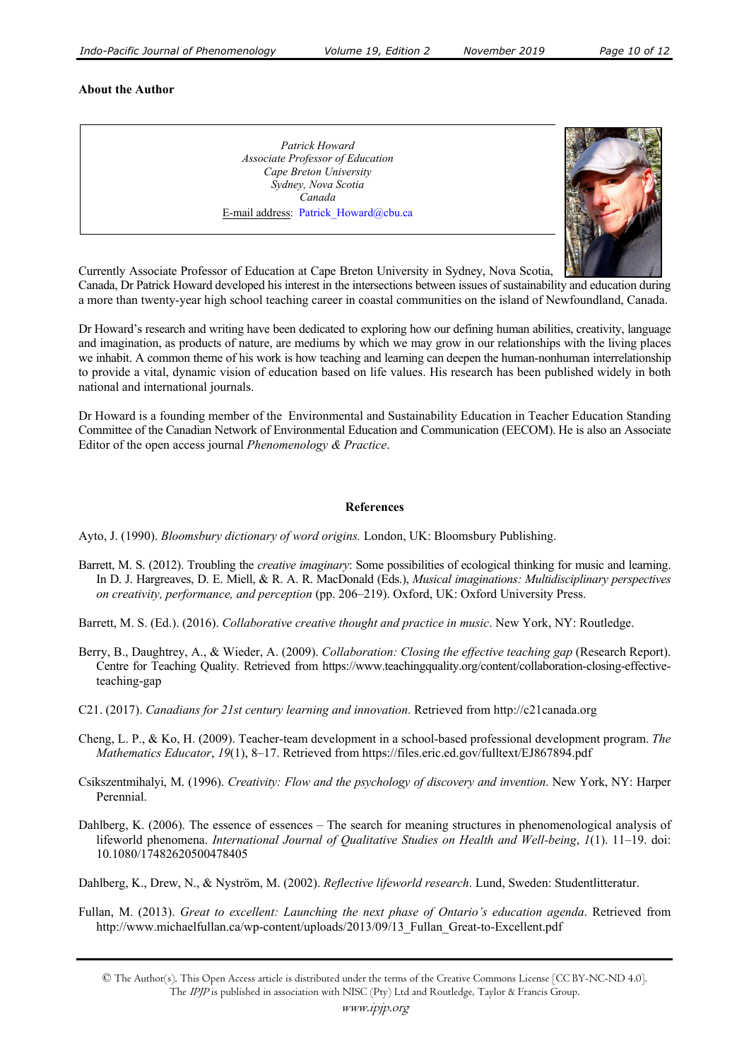#### **About the Author**

*Patrick Howard Associate Professor of Education Cape Breton University Sydney, Nova Scotia Canada*  E-mail address: Patrick\_Howard@cbu.ca



Currently Associate Professor of Education at Cape Breton University in Sydney, Nova Scotia,

Canada, Dr Patrick Howard developed his interest in the intersections between issues of sustainability and education during a more than twenty-year high school teaching career in coastal communities on the island of Newfoundland, Canada.

Dr Howard's research and writing have been dedicated to exploring how our defining human abilities, creativity, language and imagination, as products of nature, are mediums by which we may grow in our relationships with the living places we inhabit. A common theme of his work is how teaching and learning can deepen the human-nonhuman interrelationship to provide a vital, dynamic vision of education based on life values. His research has been published widely in both national and international journals.

Dr Howard is a founding member of the Environmental and Sustainability Education in Teacher Education Standing Committee of the Canadian Network of Environmental Education and Communication (EECOM). He is also an Associate Editor of the open access journal *Phenomenology & Practice*.

#### **References**

Ayto, J. (1990). *Bloomsbury dictionary of word origins.* London, UK: Bloomsbury Publishing.

Barrett, M. S. (2012). Troubling the *creative imaginary*: Some possibilities of ecological thinking for music and learning. In D. J. Hargreaves, D. E. Miell, & R. A. R. MacDonald (Eds.), *Musical imaginations: Multidisciplinary perspectives on creativity, performance, and perception* (pp. 206–219). Oxford, UK: Oxford University Press.

Barrett, M. S. (Ed.). (2016). *Collaborative creative thought and practice in music*. New York, NY: Routledge.

- Berry, B., Daughtrey, A., & Wieder, A. (2009). *Collaboration: Closing the effective teaching gap* (Research Report). Centre for Teaching Quality. Retrieved from https://www.teachingquality.org/content/collaboration-closing-effectiveteaching-gap
- C21. (2017). *Canadians for 21st century learning and innovation*. Retrieved from http://c21canada.org
- Cheng, L. P., & Ko, H. (2009). Teacher-team development in a school-based professional development program. *The Mathematics Educator*, *19*(1), 8–17. Retrieved from https://files.eric.ed.gov/fulltext/EJ867894.pdf
- Csikszentmihalyi, M. (1996). *Creativity: Flow and the psychology of discovery and invention*. New York, NY: Harper Perennial.
- Dahlberg, K. (2006). The essence of essences The search for meaning structures in phenomenological analysis of lifeworld phenomena. *International Journal of Qualitative Studies on Health and Well-being*, *1*(1). 11–19. doi: 10.1080/17482620500478405

Dahlberg, K., Drew, N., & Nyström, M. (2002). *Reflective lifeworld research*. Lund, Sweden: Studentlitteratur.

Fullan, M. (2013). *Great to excellent: Launching the next phase of Ontario's education agenda*. Retrieved from http://www.michaelfullan.ca/wp-content/uploads/2013/09/13\_Fullan\_Great-to-Excellent.pdf

<sup>©</sup> The Author(s). This Open Access article is distributed under the terms of the Creative Commons License [CC BY-NC-ND 4.0]. The IPJP is published in association with NISC (Pty) Ltd and Routledge, Taylor & Francis Group.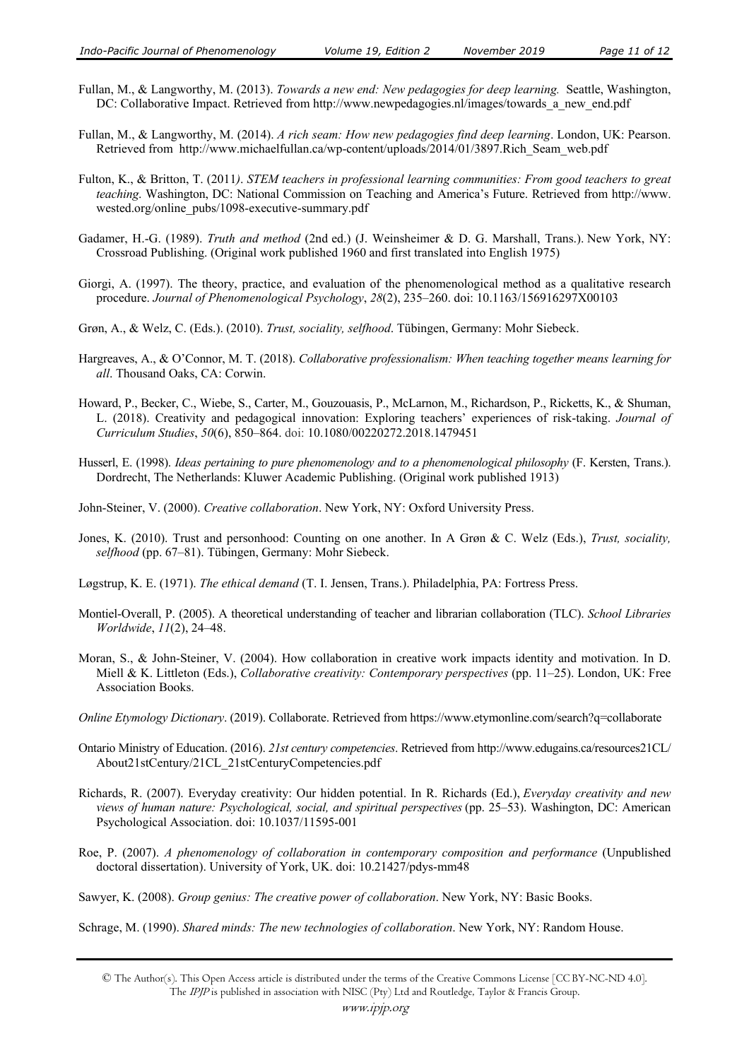- Fullan, M., & Langworthy, M. (2013). *Towards a new end: New pedagogies for deep learning.* Seattle, Washington, DC: Collaborative Impact. Retrieved from http://www.newpedagogies.nl/images/towards\_a\_new\_end.pdf
- Fullan, M., & Langworthy, M. (2014). *A rich seam: How new pedagogies find deep learning*. London, UK: Pearson. Retrieved from http://www.michaelfullan.ca/wp-content/uploads/2014/01/3897.Rich\_Seam\_web.pdf
- Fulton, K., & Britton, T. (2011*)*. *STEM teachers in professional learning communities: From good teachers to great teaching*. Washington, DC: National Commission on Teaching and America's Future. Retrieved from http://www. wested.org/online\_pubs/1098-executive-summary.pdf
- Gadamer, H.-G. (1989). *Truth and method* (2nd ed.) (J. Weinsheimer & D. G. Marshall, Trans.). New York, NY: Crossroad Publishing. (Original work published 1960 and first translated into English 1975)
- Giorgi, A. (1997). The theory, practice, and evaluation of the phenomenological method as a qualitative research procedure. *Journal of Phenomenological Psychology*, *28*(2), 235–260. doi: 10.1163/156916297X00103
- Grøn, A., & Welz, C. (Eds.). (2010). *Trust, sociality, selfhood*. Tübingen, Germany: Mohr Siebeck.
- Hargreaves, A., & O'Connor, M. T. (2018). *Collaborative professionalism: When teaching together means learning for all*. Thousand Oaks, CA: Corwin.
- Howard, P., Becker, C., Wiebe, S., Carter, M., Gouzouasis, P., McLarnon, M., Richardson, P., Ricketts, K., & Shuman, L. (2018). Creativity and pedagogical innovation: Exploring teachers' experiences of risk-taking. *Journal of Curriculum Studies*, *50*(6), 850–864. doi: 10.1080/00220272.2018.1479451
- Husserl, E. (1998). *Ideas pertaining to pure phenomenology and to a phenomenological philosophy* (F. Kersten, Trans.). Dordrecht, The Netherlands: Kluwer Academic Publishing. (Original work published 1913)
- John-Steiner, V. (2000). *Creative collaboration*. New York, NY: Oxford University Press.
- Jones, K. (2010). Trust and personhood: Counting on one another. In A Grøn & C. Welz (Eds.), *Trust, sociality, selfhood* (pp. 67–81). Tübingen, Germany: Mohr Siebeck.
- Løgstrup, K. E. (1971). *The ethical demand* (T. I. Jensen, Trans.). Philadelphia, PA: Fortress Press.
- Montiel-Overall, P. (2005). A theoretical understanding of teacher and librarian collaboration (TLC). *School Libraries Worldwide*, *11*(2), 24–48.
- Moran, S., & John-Steiner, V. (2004). How collaboration in creative work impacts identity and motivation. In D. Miell & K. Littleton (Eds.), *Collaborative creativity: Contemporary perspectives* (pp. 11–25). London, UK: Free Association Books.
- *Online Etymology Dictionary*. (2019). Collaborate. Retrieved from https://www.etymonline.com/search?q=collaborate
- Ontario Ministry of Education. (2016). *21st century competencies*. Retrieved from http://www.edugains.ca/resources21CL/ About21stCentury/21CL\_21stCenturyCompetencies.pdf
- Richards, R. (2007). Everyday creativity: Our hidden potential. In R. Richards (Ed.), *Everyday creativity and new views of human nature: Psychological, social, and spiritual perspectives* (pp. 25–53). Washington, DC: American Psychological Association. doi: 10.1037/11595-001
- Roe, P. (2007). *A phenomenology of collaboration in contemporary composition and performance* (Unpublished doctoral dissertation). University of York, UK. doi: 10.21427/pdys-mm48
- Sawyer, K. (2008). *Group genius: The creative power of collaboration*. New York, NY: Basic Books.

Schrage, M. (1990). *Shared minds: The new technologies of collaboration*. New York, NY: Random House.

<sup>©</sup> The Author(s). This Open Access article is distributed under the terms of the Creative Commons License [CC BY-NC-ND 4.0]. The IPJP is published in association with NISC (Pty) Ltd and Routledge, Taylor & Francis Group.